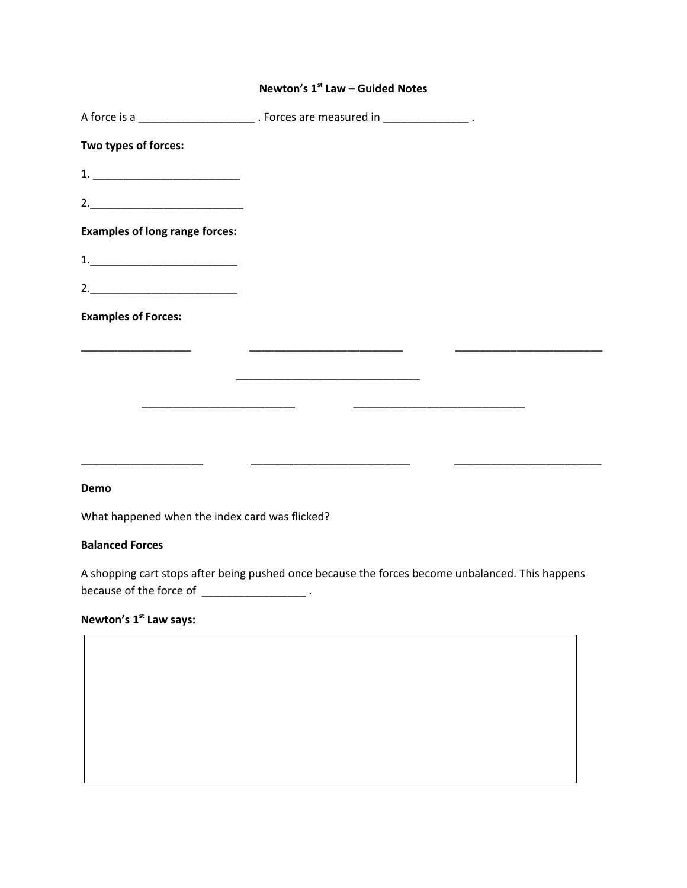#### **Newton's 1st Law – Guided Notes**

| Two types of forces:                                                            |                                                                                                                      |  |
|---------------------------------------------------------------------------------|----------------------------------------------------------------------------------------------------------------------|--|
| $1. \_$                                                                         |                                                                                                                      |  |
| 2.                                                                              |                                                                                                                      |  |
| <b>Examples of long range forces:</b>                                           |                                                                                                                      |  |
| $\begin{tabular}{c} 1. & \rule{3.0cm}{0.1cm} \rule{2.0cm}{0.1cm} \end{tabular}$ |                                                                                                                      |  |
| 2.                                                                              |                                                                                                                      |  |
| <b>Examples of Forces:</b>                                                      |                                                                                                                      |  |
|                                                                                 |                                                                                                                      |  |
|                                                                                 | <u> 1989 - Johann John Stein, markin amerikan bisa di sebagai pertama dan pertama di sebagai pertama dan pertama</u> |  |
|                                                                                 |                                                                                                                      |  |
|                                                                                 |                                                                                                                      |  |
|                                                                                 |                                                                                                                      |  |
| Demo                                                                            |                                                                                                                      |  |

What happened when the index card was flicked?

## **Balanced Forces**

A shopping cart stops after being pushed once because the forces become unbalanced. This happens because of the force of \_\_\_\_\_\_\_\_\_\_\_\_\_\_\_\_\_\_\_\_\_\_\_.

#### **Newton's 1st Law says:**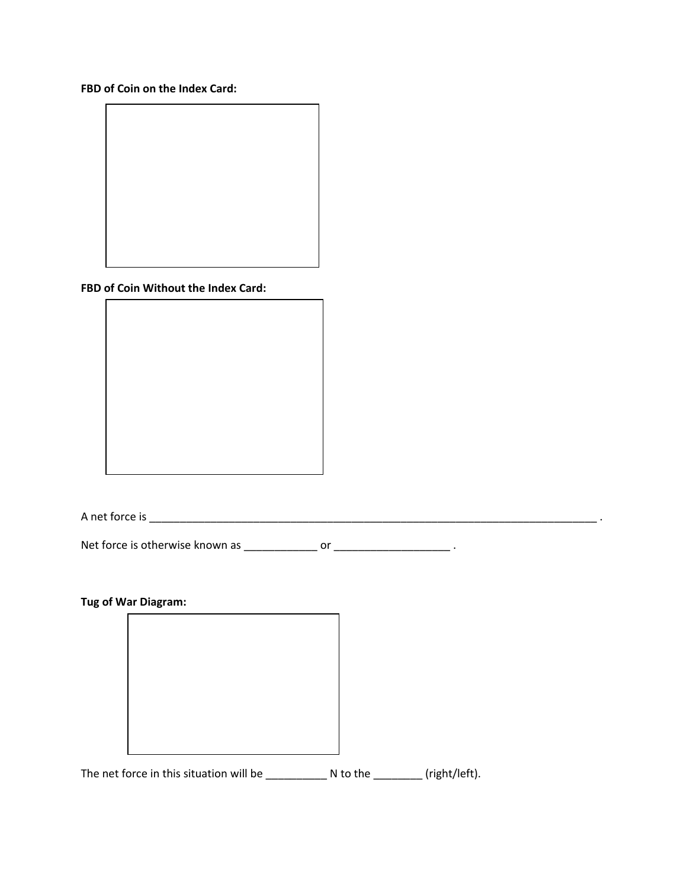**FBD of Coin on the Index Card:**



#### **FBD of Coin Without the Index Card:**

A net force is \_\_\_\_\_\_\_\_\_\_\_\_\_\_\_\_\_\_\_\_\_\_\_\_\_\_\_\_\_\_\_\_\_\_\_\_\_\_\_\_\_\_\_\_\_\_\_\_\_\_\_\_\_\_\_\_\_\_\_\_\_\_\_\_\_\_\_\_\_\_\_\_\_ .

Net force is otherwise known as \_\_\_\_\_\_\_\_\_\_\_\_ or \_\_\_\_\_\_\_\_\_\_\_\_\_\_\_\_\_\_\_ .

## **Tug of War Diagram:**

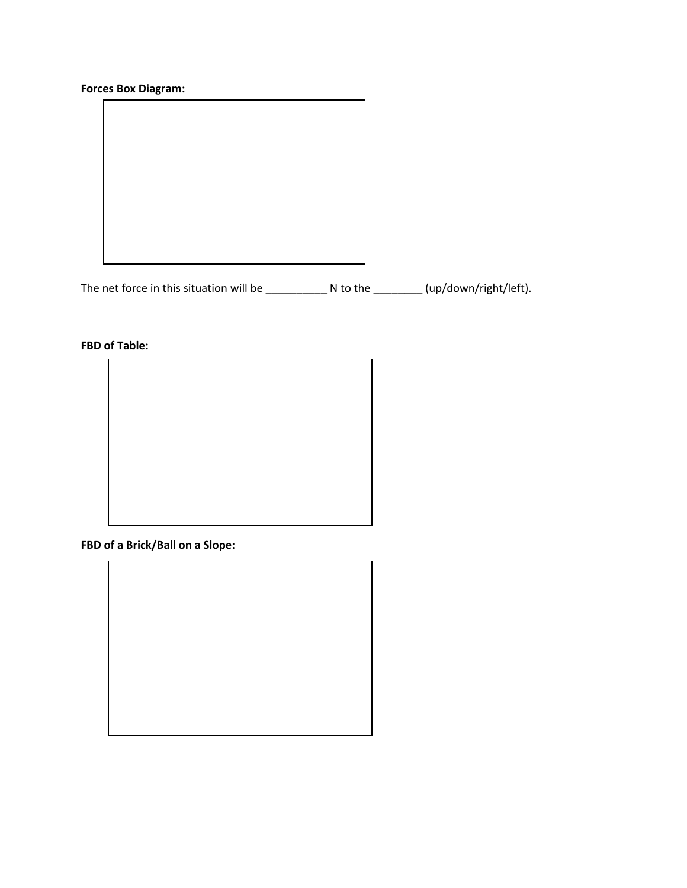# **Forces Box Diagram:**

The net force in this situation will be \_\_\_\_\_\_\_\_\_\_ N to the \_\_\_\_\_\_\_\_ (up/down/right/left).

**FBD of Table:**



**FBD of a Brick/Ball on a Slope:**

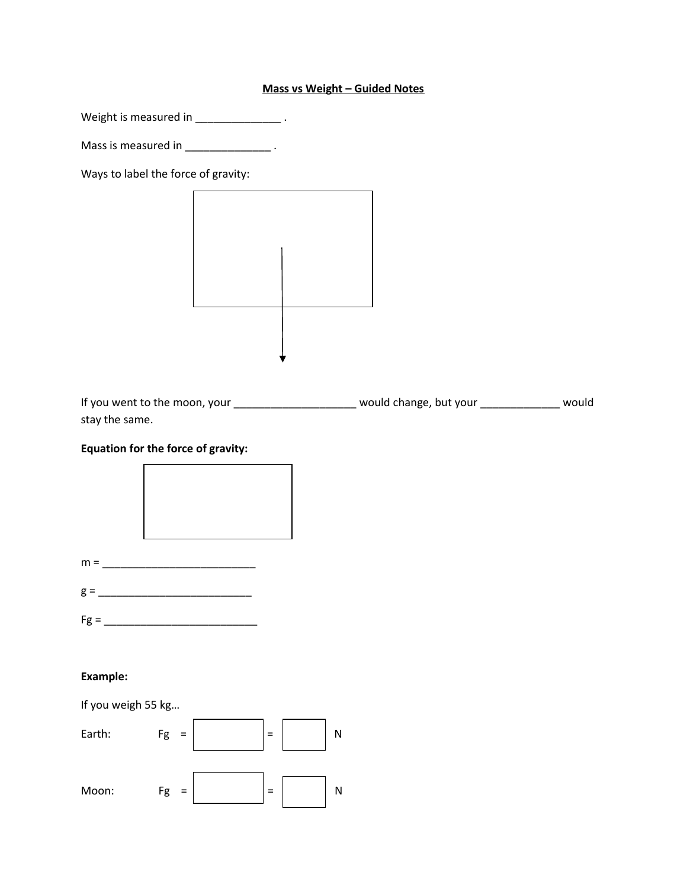#### **Mass vs Weight – Guided Notes**

Weight is measured in \_\_\_\_\_\_\_\_\_\_\_\_\_\_\_\_\_\_\_\_.

Mass is measured in \_\_\_\_\_\_\_\_\_\_\_\_\_\_\_\_\_\_\_\_ .

Ways to label the force of gravity:



If you went to the moon, your \_\_\_\_\_\_\_\_\_\_\_\_\_\_\_\_\_\_\_\_\_\_ would change, but your \_\_\_\_\_\_\_\_\_\_\_\_\_\_\_ would stay the same.

### **Equation for the force of gravity:**



- $m = \_$
- g = \_\_\_\_\_\_\_\_\_\_\_\_\_\_\_\_\_\_\_\_\_\_\_\_\_  $Fg =$

#### **Example:**

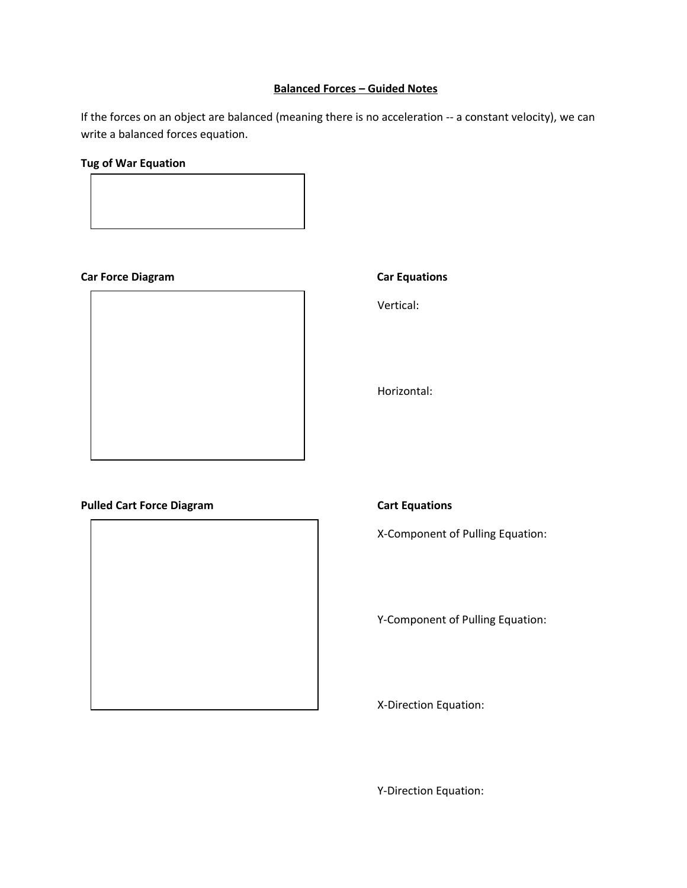#### **Balanced Forces – Guided Notes**

If the forces on an object are balanced (meaning there is no acceleration -- a constant velocity), we can write a balanced forces equation.

### **Tug of War Equation**



#### **Car Force Diagram Car Equations**



Vertical:

Horizontal:

## **Pulled Cart Force Diagram Cart Equations**



X-Component of Pulling Equation:

Y-Component of Pulling Equation:

X-Direction Equation:

Y-Direction Equation: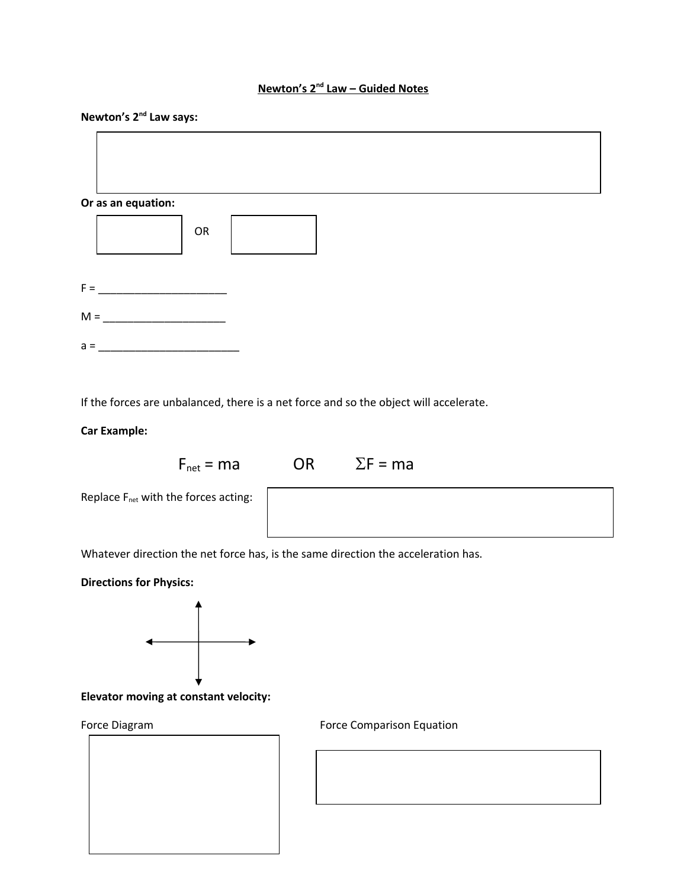#### **Newton's 2nd Law – Guided Notes**

## **Newton's 2nd Law says:**

 $\Gamma$ 

| Or as an equation: |    |  |  |  |
|--------------------|----|--|--|--|
|                    | OR |  |  |  |
| $F =$              |    |  |  |  |
| $M =$              |    |  |  |  |
| $a =$              |    |  |  |  |

If the forces are unbalanced, there is a net force and so the object will accelerate.

### **Car Example:**

 $F_{net} = ma$  OR  $\Sigma F = ma$ 

Replace  $F_{net}$  with the forces acting:

Whatever direction the net force has, is the same direction the acceleration has.

### **Directions for Physics:**



**Elevator moving at constant velocity:**

Force Diagram **Force Comparison Equation** 

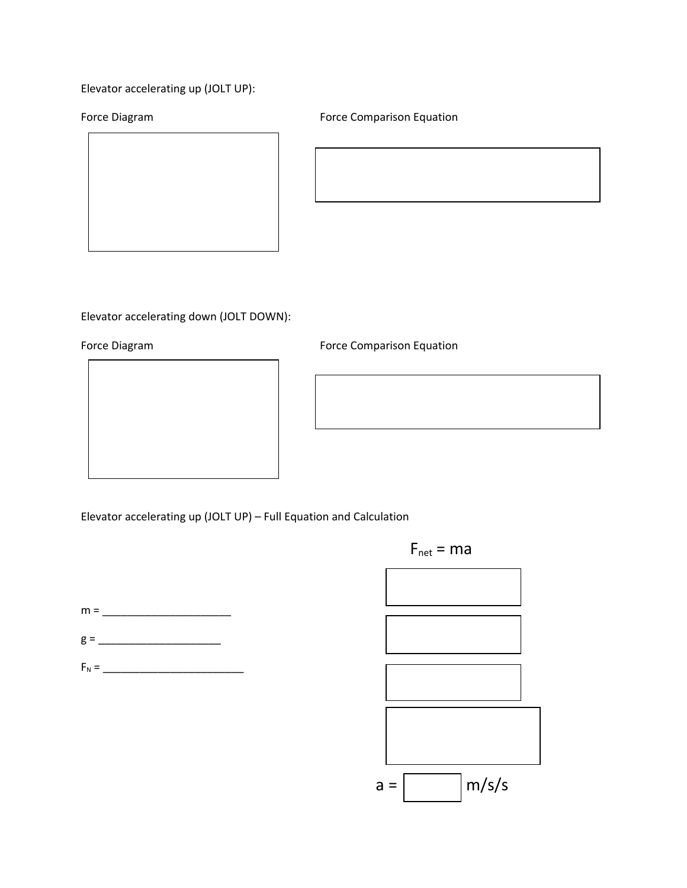# Elevator accelerating up (JOLT UP):

Force Diagram **Force Comparison Equation** 



# Elevator accelerating down (JOLT DOWN):



Elevator accelerating up (JOLT UP) – Full Equation and Calculation



 $F_N = \_$ 

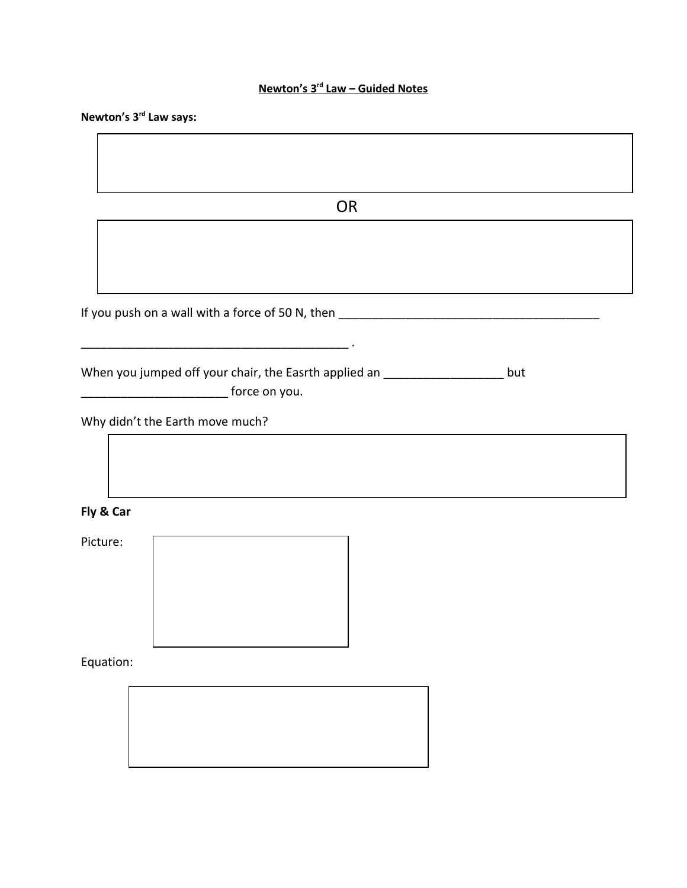#### **Newton's 3rd Law – Guided Notes**

**Newton's 3rd Law says:**

**OR** Service Service Service Service Service Service Service Service Service Service Service Service Service Service Service Service Service Service Service Service Service Service Service Service Service Service Service S If you push on a wall with a force of 50 N, then \_\_\_\_\_\_\_\_\_\_\_\_\_\_\_\_\_\_\_\_\_\_\_\_\_\_\_\_\_\_\_\_\_\_\_\_\_\_\_ \_\_\_\_\_\_\_\_\_\_\_\_\_\_\_\_\_\_\_\_\_\_\_\_\_\_\_\_\_\_\_\_\_\_\_\_\_\_\_\_ . When you jumped off your chair, the Easrth applied an \_\_\_\_\_\_\_\_\_\_\_\_\_\_\_\_\_\_\_\_\_\_ but **\_\_\_\_\_\_\_\_\_\_\_\_\_\_\_\_\_\_\_\_\_\_\_** force on you. Why didn't the Earth move much?

**Fly & Car**

Picture:



Equation:

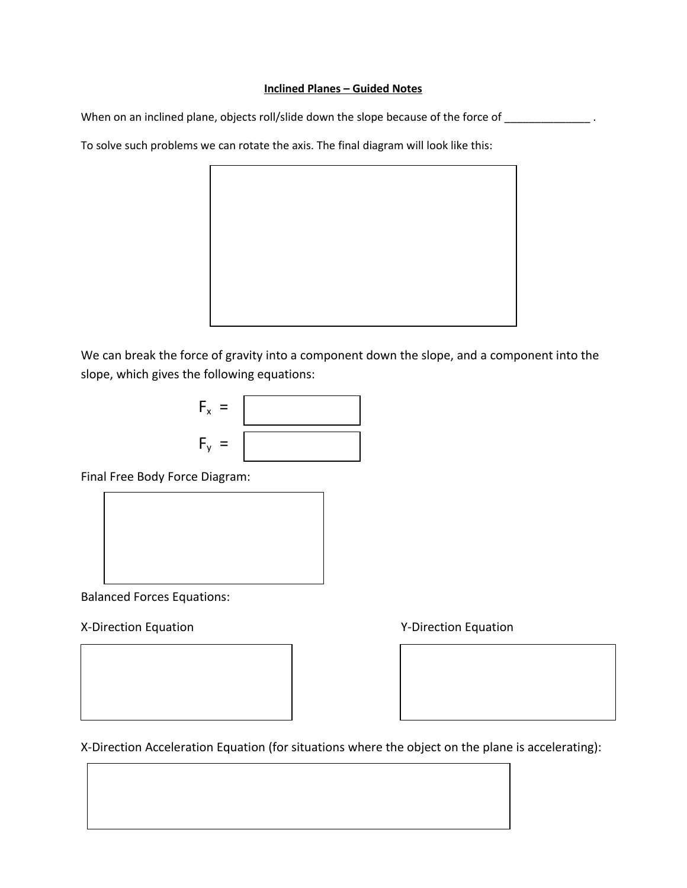#### **Inclined Planes – Guided Notes**

When on an inclined plane, objects roll/slide down the slope because of the force of \_\_\_\_\_\_\_\_\_\_\_\_\_\_\_\_\_\_\_\_\_\_\_\_

To solve such problems we can rotate the axis. The final diagram will look like this:



We can break the force of gravity into a component down the slope, and a component into the slope, which gives the following equations:



Final Free Body Force Diagram:



Balanced Forces Equations:

X-Direction Equation X-Direction Equation

X-Direction Acceleration Equation (for situations where the object on the plane is accelerating):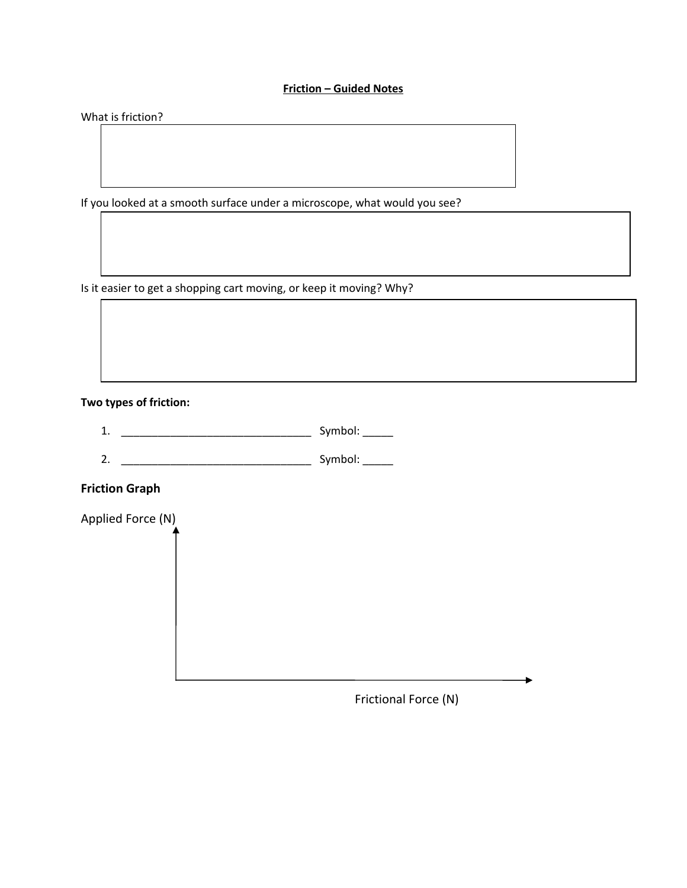### **Friction – Guided Notes**

What is friction?

If you looked at a smooth surface under a microscope, what would you see?

Is it easier to get a shopping cart moving, or keep it moving? Why?

### **Two types of friction:**

1. \_\_\_\_\_\_\_\_\_\_\_\_\_\_\_\_\_\_\_\_\_\_\_\_\_\_\_\_\_\_\_ Symbol: \_\_\_\_\_

2. \_\_\_\_\_\_\_\_\_\_\_\_\_\_\_\_\_\_\_\_\_\_\_\_\_\_\_\_\_\_\_ Symbol: \_\_\_\_\_

## **Friction Graph**

Applied Force (N)

Frictional Force (N)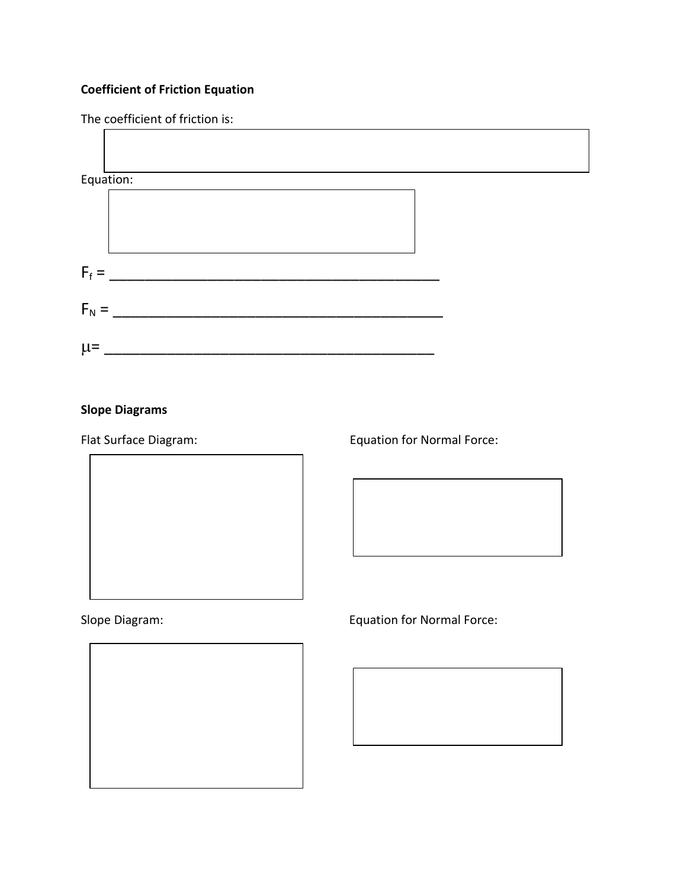# **Coefficient of Friction Equation**

The coefficient of friction is: Equation:  $F_f = \_$  $F_N = \_$ 

= \_\_\_\_\_\_\_\_\_\_\_\_\_\_\_\_\_\_\_\_\_\_\_\_\_\_\_\_\_\_\_\_\_\_\_\_\_

# **Slope Diagrams**

Flat Surface Diagram: Equation for Normal Force: